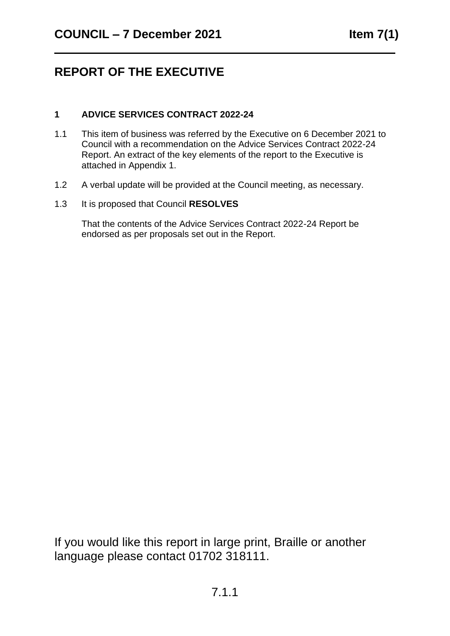## **REPORT OF THE EXECUTIVE**

#### **1 ADVICE SERVICES CONTRACT 2022-24**

- 1.1 This item of business was referred by the Executive on 6 December 2021 to Council with a recommendation on the Advice Services Contract 2022-24 Report. An extract of the key elements of the report to the Executive is attached in Appendix 1.
- 1.2 A verbal update will be provided at the Council meeting, as necessary.
- 1.3 It is proposed that Council **RESOLVES**

That the contents of the Advice Services Contract 2022-24 Report be endorsed as per proposals set out in the Report.

If you would like this report in large print, Braille or another language please contact 01702 318111.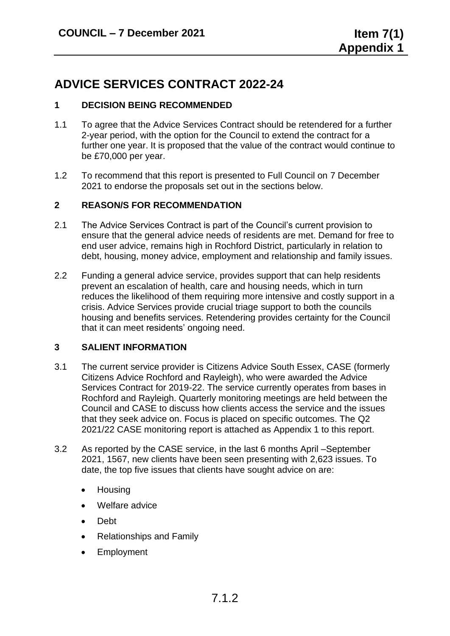### **ADVICE SERVICES CONTRACT 2022-24**

#### **1 DECISION BEING RECOMMENDED**

- 1.1 To agree that the Advice Services Contract should be retendered for a further 2-year period, with the option for the Council to extend the contract for a further one year. It is proposed that the value of the contract would continue to be £70,000 per year.
- 1.2 To recommend that this report is presented to Full Council on 7 December 2021 to endorse the proposals set out in the sections below.

#### **2 REASON/S FOR RECOMMENDATION**

- 2.1 The Advice Services Contract is part of the Council's current provision to ensure that the general advice needs of residents are met. Demand for free to end user advice, remains high in Rochford District, particularly in relation to debt, housing, money advice, employment and relationship and family issues.
- 2.2 Funding a general advice service, provides support that can help residents prevent an escalation of health, care and housing needs, which in turn reduces the likelihood of them requiring more intensive and costly support in a crisis. Advice Services provide crucial triage support to both the councils housing and benefits services. Retendering provides certainty for the Council that it can meet residents' ongoing need.

#### **3 SALIENT INFORMATION**

- 3.1 The current service provider is Citizens Advice South Essex, CASE (formerly Citizens Advice Rochford and Rayleigh), who were awarded the Advice Services Contract for 2019-22. The service currently operates from bases in Rochford and Rayleigh. Quarterly monitoring meetings are held between the Council and CASE to discuss how clients access the service and the issues that they seek advice on. Focus is placed on specific outcomes. The Q2 2021/22 CASE monitoring report is attached as Appendix 1 to this report.
- 3.2 As reported by the CASE service, in the last 6 months April –September 2021, 1567, new clients have been seen presenting with 2,623 issues. To date, the top five issues that clients have sought advice on are:
	- Housing
	- Welfare advice
	- Debt
	- Relationships and Family
	- **Employment**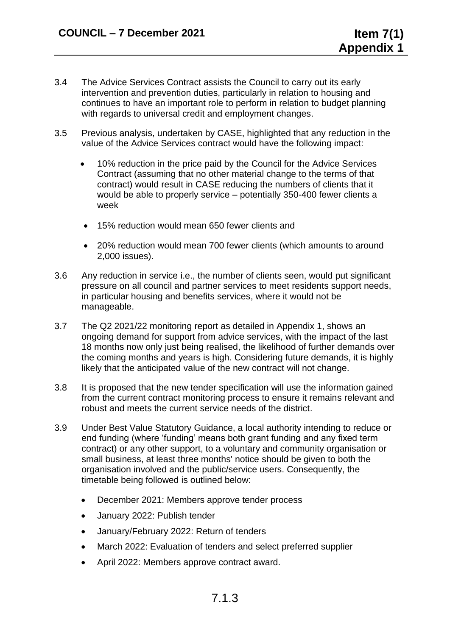- 3.4 The Advice Services Contract assists the Council to carry out its early intervention and prevention duties, particularly in relation to housing and continues to have an important role to perform in relation to budget planning with regards to universal credit and employment changes.
- 3.5 Previous analysis, undertaken by CASE, highlighted that any reduction in the value of the Advice Services contract would have the following impact:
	- 10% reduction in the price paid by the Council for the Advice Services Contract (assuming that no other material change to the terms of that contract) would result in CASE reducing the numbers of clients that it would be able to properly service – potentially 350-400 fewer clients a week
	- 15% reduction would mean 650 fewer clients and
	- 20% reduction would mean 700 fewer clients (which amounts to around 2,000 issues).
- 3.6 Any reduction in service i.e., the number of clients seen, would put significant pressure on all council and partner services to meet residents support needs, in particular housing and benefits services, where it would not be manageable.
- 3.7 The Q2 2021/22 monitoring report as detailed in Appendix 1, shows an ongoing demand for support from advice services, with the impact of the last 18 months now only just being realised, the likelihood of further demands over the coming months and years is high. Considering future demands, it is highly likely that the anticipated value of the new contract will not change.
- 3.8 It is proposed that the new tender specification will use the information gained from the current contract monitoring process to ensure it remains relevant and robust and meets the current service needs of the district.
- 3.9 Under Best Value Statutory Guidance, a local authority intending to reduce or end funding (where 'funding' means both grant funding and any fixed term contract) or any other support, to a voluntary and community organisation or small business, at least three months' notice should be given to both the organisation involved and the public/service users. Consequently, the timetable being followed is outlined below:
	- December 2021: Members approve tender process
	- January 2022: Publish tender
	- January/February 2022: Return of tenders
	- March 2022: Evaluation of tenders and select preferred supplier
	- April 2022: Members approve contract award.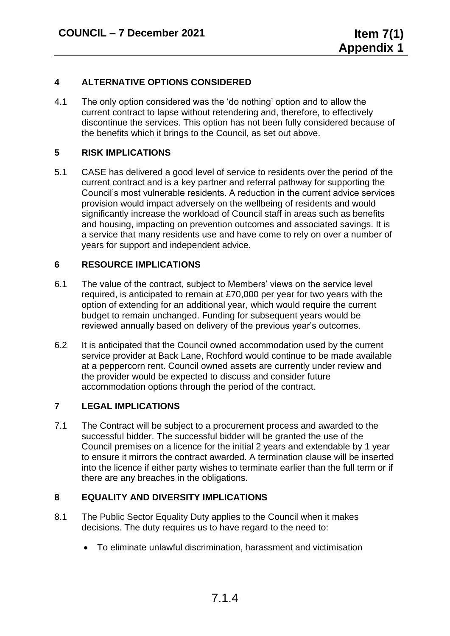#### **4 ALTERNATIVE OPTIONS CONSIDERED**

4.1 The only option considered was the 'do nothing' option and to allow the current contract to lapse without retendering and, therefore, to effectively discontinue the services. This option has not been fully considered because of the benefits which it brings to the Council, as set out above.

#### **5 RISK IMPLICATIONS**

5.1 CASE has delivered a good level of service to residents over the period of the current contract and is a key partner and referral pathway for supporting the Council's most vulnerable residents. A reduction in the current advice services provision would impact adversely on the wellbeing of residents and would significantly increase the workload of Council staff in areas such as benefits and housing, impacting on prevention outcomes and associated savings. It is a service that many residents use and have come to rely on over a number of years for support and independent advice.

#### **6 RESOURCE IMPLICATIONS**

- 6.1 The value of the contract, subject to Members' views on the service level required, is anticipated to remain at £70,000 per year for two years with the option of extending for an additional year, which would require the current budget to remain unchanged. Funding for subsequent years would be reviewed annually based on delivery of the previous year's outcomes.
- 6.2 It is anticipated that the Council owned accommodation used by the current service provider at Back Lane, Rochford would continue to be made available at a peppercorn rent. Council owned assets are currently under review and the provider would be expected to discuss and consider future accommodation options through the period of the contract.

#### **7 LEGAL IMPLICATIONS**

7.1 The Contract will be subject to a procurement process and awarded to the successful bidder. The successful bidder will be granted the use of the Council premises on a licence for the initial 2 years and extendable by 1 year to ensure it mirrors the contract awarded. A termination clause will be inserted into the licence if either party wishes to terminate earlier than the full term or if there are any breaches in the obligations.

#### **8 EQUALITY AND DIVERSITY IMPLICATIONS**

- 8.1 The Public Sector Equality Duty applies to the Council when it makes decisions. The duty requires us to have regard to the need to:
	- To eliminate unlawful discrimination, harassment and victimisation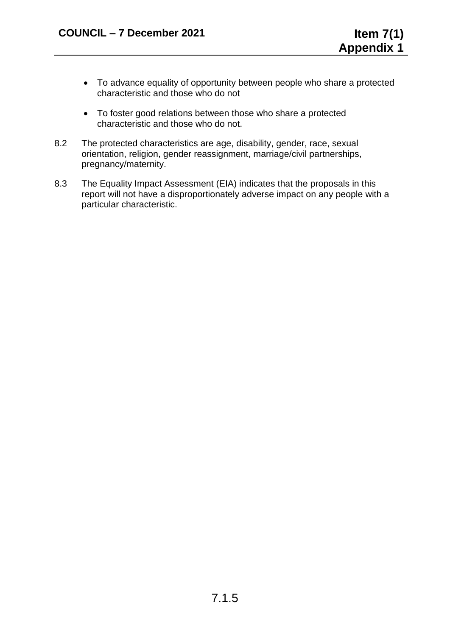- To advance equality of opportunity between people who share a protected characteristic and those who do not
- To foster good relations between those who share a protected characteristic and those who do not.
- 8.2 The protected characteristics are age, disability, gender, race, sexual orientation, religion, gender reassignment, marriage/civil partnerships, pregnancy/maternity.
- 8.3 The Equality Impact Assessment (EIA) indicates that the proposals in this report will not have a disproportionately adverse impact on any people with a particular characteristic.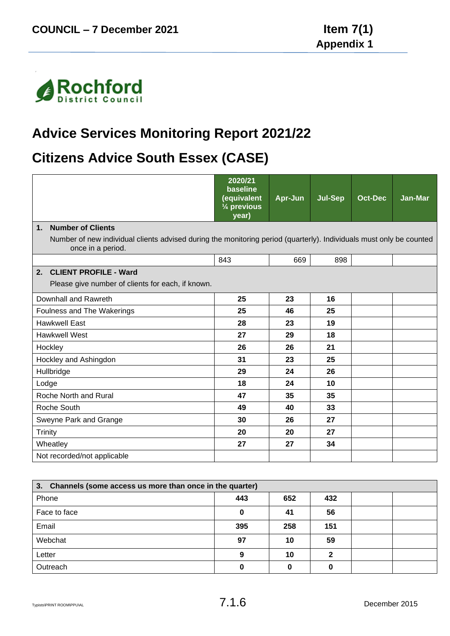

# **Advice Services Monitoring Report 2021/22**

## **Citizens Advice South Essex (CASE)**

|                                                                                                                                          | 2020/21<br>baseline<br>(equivalent<br>1/4 previous<br>year) | Apr-Jun | <b>Jul-Sep</b> | <b>Oct-Dec</b> | Jan-Mar |
|------------------------------------------------------------------------------------------------------------------------------------------|-------------------------------------------------------------|---------|----------------|----------------|---------|
| <b>Number of Clients</b><br>1 <sub>1</sub>                                                                                               |                                                             |         |                |                |         |
| Number of new individual clients advised during the monitoring period (quarterly). Individuals must only be counted<br>once in a period. |                                                             |         |                |                |         |
|                                                                                                                                          | 843                                                         | 669     | 898            |                |         |
| <b>CLIENT PROFILE - Ward</b><br>2.                                                                                                       |                                                             |         |                |                |         |
| Please give number of clients for each, if known.                                                                                        |                                                             |         |                |                |         |
| Downhall and Rawreth                                                                                                                     | 25                                                          | 23      | 16             |                |         |
| Foulness and The Wakerings                                                                                                               | 25                                                          | 46      | 25             |                |         |
| <b>Hawkwell East</b>                                                                                                                     | 28                                                          | 23      | 19             |                |         |
| <b>Hawkwell West</b>                                                                                                                     | 27                                                          | 29      | 18             |                |         |
| Hockley                                                                                                                                  | 26                                                          | 26      | 21             |                |         |
| Hockley and Ashingdon                                                                                                                    | 31                                                          | 23      | 25             |                |         |
| Hullbridge                                                                                                                               | 29                                                          | 24      | 26             |                |         |
| Lodge                                                                                                                                    | 18                                                          | 24      | 10             |                |         |
| Roche North and Rural                                                                                                                    | 47                                                          | 35      | 35             |                |         |
| Roche South                                                                                                                              | 49                                                          | 40      | 33             |                |         |
| Sweyne Park and Grange                                                                                                                   | 30                                                          | 26      | 27             |                |         |
| <b>Trinity</b>                                                                                                                           | 20                                                          | 20      | 27             |                |         |
| Wheatley                                                                                                                                 | 27                                                          | 27      | 34             |                |         |
| Not recorded/not applicable                                                                                                              |                                                             |         |                |                |         |
|                                                                                                                                          |                                                             |         |                |                |         |

| 3. Channels (some access us more than once in the quarter) |     |     |     |  |  |  |  |
|------------------------------------------------------------|-----|-----|-----|--|--|--|--|
| Phone                                                      | 443 | 652 | 432 |  |  |  |  |
| Face to face                                               | 0   | 41  | 56  |  |  |  |  |
| Email                                                      | 395 | 258 | 151 |  |  |  |  |
| Webchat                                                    | 97  | 10  | 59  |  |  |  |  |
| Letter                                                     | 9   | 10  | ∍   |  |  |  |  |
| Outreach                                                   | 0   |     |     |  |  |  |  |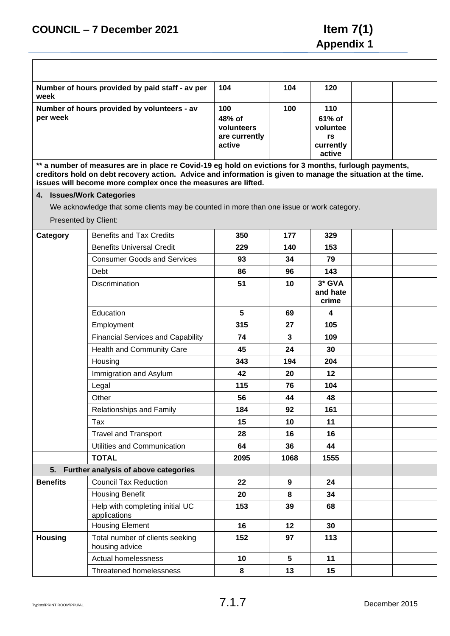| Number of hours provided by paid staff - av per<br>week | 104                                                    | 104 | 120                                                    |  |
|---------------------------------------------------------|--------------------------------------------------------|-----|--------------------------------------------------------|--|
| Number of hours provided by volunteers - av<br>per week | 100<br>48% of<br>volunteers<br>are currently<br>active | 100 | 110<br>61% of<br>voluntee<br>rs<br>currently<br>active |  |

**\*\* a number of measures are in place re Covid-19 eg hold on evictions for 3 months, furlough payments, creditors hold on debt recovery action. Advice and information is given to manage the situation at the time. issues will become more complex once the measures are lifted.**

#### **4. Issues/Work Categories**

We acknowledge that some clients may be counted in more than one issue or work category.

Presented by Client:

| Category        | <b>Benefits and Tax Credits</b>                   | 350  | 177             | 329                           |  |
|-----------------|---------------------------------------------------|------|-----------------|-------------------------------|--|
|                 | <b>Benefits Universal Credit</b>                  | 229  | 140             | 153                           |  |
|                 | <b>Consumer Goods and Services</b>                | 93   | 34              | 79                            |  |
|                 | Debt                                              | 86   | 96              | 143                           |  |
|                 | <b>Discrimination</b>                             | 51   | 10              | $3*$ GVA<br>and hate<br>crime |  |
|                 | Education                                         | 5    | 69              | 4                             |  |
|                 | Employment                                        | 315  | 27              | 105                           |  |
|                 | <b>Financial Services and Capability</b>          | 74   | $\mathbf{3}$    | 109                           |  |
|                 | Health and Community Care                         | 45   | 24              | 30                            |  |
|                 | Housing                                           | 343  | 194             | 204                           |  |
|                 | Immigration and Asylum                            | 42   | 20              | 12                            |  |
|                 | Legal                                             | 115  | 76              | 104                           |  |
|                 | Other                                             | 56   | 44              | 48                            |  |
|                 | Relationships and Family                          | 184  | 92              | 161                           |  |
|                 | Tax                                               | 15   | 10              | 11                            |  |
|                 | <b>Travel and Transport</b>                       | 28   | 16              | 16                            |  |
|                 | Utilities and Communication                       | 64   | 36              | 44                            |  |
|                 | <b>TOTAL</b>                                      | 2095 | 1068            | 1555                          |  |
| 5.              | Further analysis of above categories              |      |                 |                               |  |
| <b>Benefits</b> | <b>Council Tax Reduction</b>                      | 22   | 9               | 24                            |  |
|                 | <b>Housing Benefit</b>                            | 20   | 8               | 34                            |  |
|                 | Help with completing initial UC<br>applications   | 153  | 39              | 68                            |  |
|                 | <b>Housing Element</b>                            | 16   | 12              | 30                            |  |
| <b>Housing</b>  | Total number of clients seeking<br>housing advice | 152  | 97              | 113                           |  |
|                 | <b>Actual homelessness</b>                        | 10   | $5\phantom{.0}$ | 11                            |  |
|                 | Threatened homelessness                           | 8    | 13              | 15                            |  |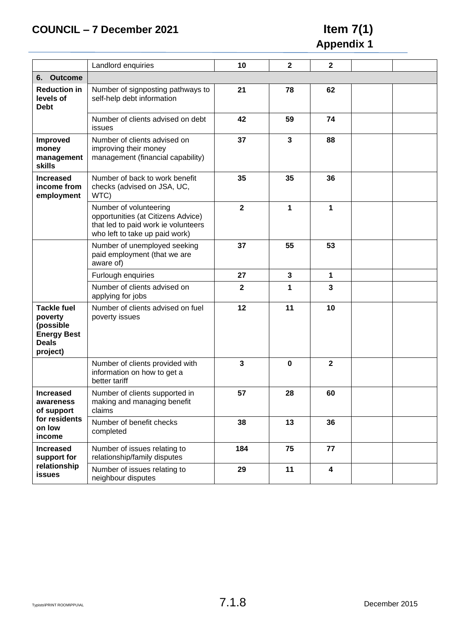## **COUNCIL – 7 December 2021 Item 7(1)**

# **Appendix 1**

|                                                                                              | Landlord enquiries                                                                                                                    | 10           | $\mathbf{2}$ | $\mathbf 2$             |  |  |  |  |
|----------------------------------------------------------------------------------------------|---------------------------------------------------------------------------------------------------------------------------------------|--------------|--------------|-------------------------|--|--|--|--|
| <b>Outcome</b><br>6.                                                                         |                                                                                                                                       |              |              |                         |  |  |  |  |
| <b>Reduction in</b><br>levels of<br><b>Debt</b>                                              | Number of signposting pathways to<br>self-help debt information                                                                       | 21           | 78           | 62                      |  |  |  |  |
|                                                                                              | Number of clients advised on debt<br>issues                                                                                           | 42           | 59           | 74                      |  |  |  |  |
| Improved<br>money<br>management<br>skills                                                    | Number of clients advised on<br>improving their money<br>management (financial capability)                                            | 37           | $\mathbf{3}$ | 88                      |  |  |  |  |
| <b>Increased</b><br>income from<br>employment                                                | Number of back to work benefit<br>checks (advised on JSA, UC,<br>WTC)                                                                 | 35           | 35           | 36                      |  |  |  |  |
|                                                                                              | Number of volunteering<br>opportunities (at Citizens Advice)<br>that led to paid work ie volunteers<br>who left to take up paid work) | $\mathbf{2}$ | 1            | 1                       |  |  |  |  |
|                                                                                              | Number of unemployed seeking<br>paid employment (that we are<br>aware of)                                                             | 37           | 55           | 53                      |  |  |  |  |
|                                                                                              | Furlough enquiries                                                                                                                    | 27           | 3            | 1                       |  |  |  |  |
|                                                                                              | Number of clients advised on<br>applying for jobs                                                                                     | $\mathbf{2}$ | 1            | 3                       |  |  |  |  |
| <b>Tackle fuel</b><br>poverty<br>(possible<br><b>Energy Best</b><br><b>Deals</b><br>project) | Number of clients advised on fuel<br>poverty issues                                                                                   | 12           | 11           | 10                      |  |  |  |  |
|                                                                                              | Number of clients provided with<br>information on how to get a<br>better tariff                                                       | 3            | 0            | $\mathbf{2}$            |  |  |  |  |
| <b>Increased</b><br>awareness<br>of support<br>for residents<br>on low<br>income             | Number of clients supported in<br>making and managing benefit<br>claims                                                               | 57           | 28           | 60                      |  |  |  |  |
|                                                                                              | Number of benefit checks<br>completed                                                                                                 | 38           | 13           | 36                      |  |  |  |  |
| <b>Increased</b><br>support for                                                              | Number of issues relating to<br>relationship/family disputes                                                                          | 184          | 75           | 77                      |  |  |  |  |
| relationship<br>issues                                                                       | Number of issues relating to<br>neighbour disputes                                                                                    | 29           | 11           | $\overline{\mathbf{4}}$ |  |  |  |  |